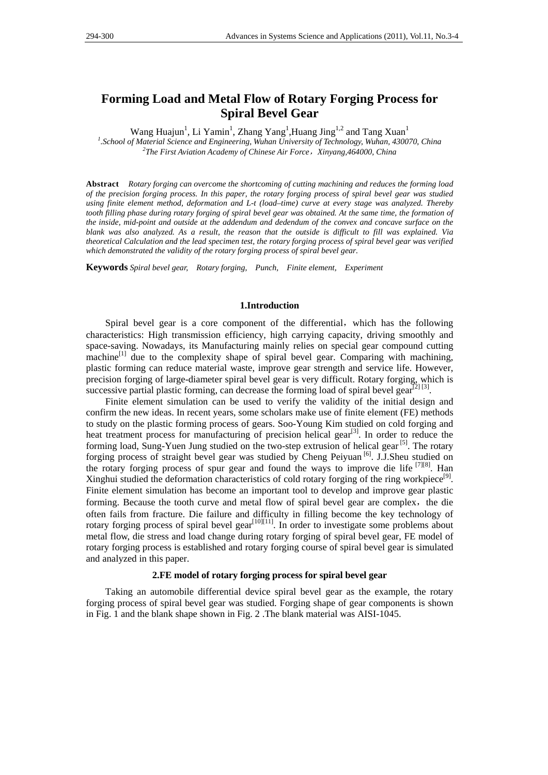# **Forming Load and Metal Flow of Rotary Forging Process for Spiral Bevel Gear**

Wang Huajun<sup>1</sup>, Li Yamin<sup>1</sup>, Zhang Yang<sup>1</sup>, Huang Jing<sup>1,2</sup> and Tang Xuan<sup>1</sup>

<sup>1</sup>. School of Material Science and Engineering, Wuhan University of Technology, Wuhan, 430070, China <sup>2</sup>The First Aviation Agadowy of Chinage Air Force Viryang 464000, China *The First Aviation Academy of Chinese Air Force*,*Xinyang,464000, China* 

**Abstract** *Rotary forging can overcome the shortcoming of cutting machining and reduces the forming load of the precision forging process. In this paper, the rotary forging process of spiral bevel gear was studied using finite element method, deformation and L-t (load–time) curve at every stage was analyzed. Thereby tooth filling phase during rotary forging of spiral bevel gear was obtained. At the same time, the formation of the inside, mid-point and outside at the addendum and dedendum of the convex and concave surface on the blank was also analyzed. As a result, the reason that the outside is difficult to fill was explained. Via theoretical Calculation and the lead specimen test, the rotary forging process of spiral bevel gear was verified which demonstrated the validity of the rotary forging process of spiral bevel gear.* 

**Keywords** *Spiral bevel gear, Rotary forging, Punch, Finite element, Experiment* 

### **1.Introduction**

Spiral bevel gear is a core component of the differential, which has the following characteristics: High transmission efficiency, high carrying capacity, driving smoothly and space-saving. Nowadays, its Manufacturing mainly relies on special gear compound cutting machine $\left[1\right]$  due to the complexity shape of spiral bevel gear. Comparing with machining, plastic forming can reduce material waste, improve gear strength and service life. However, precision forging of large-diameter spiral bevel gear is very difficult. Rotary forging, which is successive partial plastic forming, can decrease the forming load of spiral bevel gear<sup>[2] [3]</sup>.

Finite element simulation can be used to verify the validity of the initial design and confirm the new ideas. In recent years, some scholars make use of finite element (FE) methods to study on the plastic forming process of gears. Soo-Young Kim studied on cold forging and heat treatment process for manufacturing of precision helical gear<sup>[3]</sup>. In order to reduce the forming load, Sung-Yuen Jung studied on the two-step extrusion of helical gear  $[5]$ . The rotary forging process of straight bevel gear was studied by Cheng Peiyuan [6]. J.J.Sheu studied on the rotary forging process of spur gear and found the ways to improve die life  $^{[7][8]}$ . Han Xinghui studied the deformation characteristics of cold rotary forging of the ring workpiece<sup>[9]</sup>. Finite element simulation has become an important tool to develop and improve gear plastic forming. Because the tooth curve and metal flow of spiral bevel gear are complex, the die often fails from fracture. Die failure and difficulty in filling become the key technology of rotary forging process of spiral bevel gear<sup>[10][11]</sup>. In order to investigate some problems about metal flow, die stress and load change during rotary forging of spiral bevel gear, FE model of rotary forging process is established and rotary forging course of spiral bevel gear is simulated and analyzed in this paper.

### **2.FE model of rotary forging process for spiral bevel gear**

Taking an automobile differential device spiral bevel gear as the example, the rotary forging process of spiral bevel gear was studied. Forging shape of gear components is shown in Fig. 1 and the blank shape shown in Fig. 2 .The blank material was AISI-1045.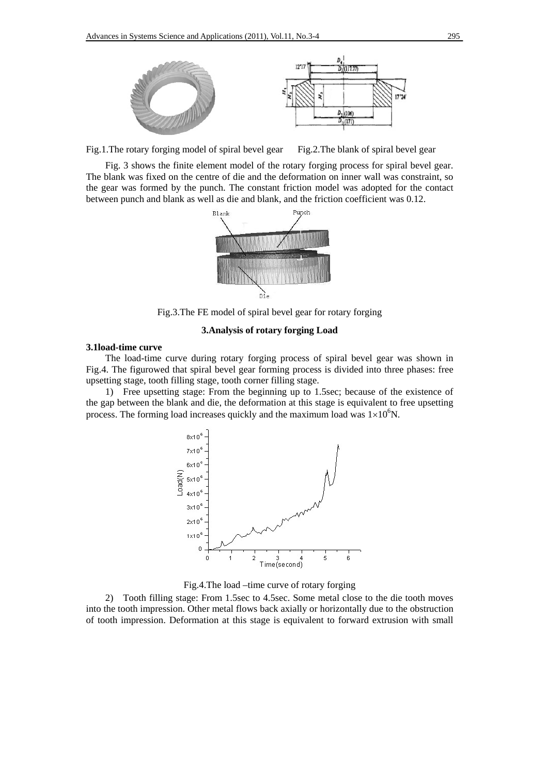

Fig.1. The rotary forging model of spiral bevel gear Fig.2. The blank of spiral bevel gear

Fig. 3 shows the finite element model of the rotary forging process for spiral bevel gear. The blank was fixed on the centre of die and the deformation on inner wall was constraint, so the gear was formed by the punch. The constant friction model was adopted for the contact between punch and blank as well as die and blank, and the friction coefficient was 0.12.



Fig.3.The FE model of spiral bevel gear for rotary forging

# **3.Analysis of rotary forging Load**

# **3.1load-time curve**

The load-time curve during rotary forging process of spiral bevel gear was shown in Fig.4. The figurowed that spiral bevel gear forming process is divided into three phases: free upsetting stage, tooth filling stage, tooth corner filling stage.

1) Free upsetting stage: From the beginning up to 1.5sec; because of the existence of the gap between the blank and die, the deformation at this stage is equivalent to free upsetting process. The forming load increases quickly and the maximum load was  $1\times10^{6}$ N.



Fig.4.The load –time curve of rotary forging

2) Tooth filling stage: From 1.5sec to 4.5sec. Some metal close to the die tooth moves into the tooth impression. Other metal flows back axially or horizontally due to the obstruction of tooth impression. Deformation at this stage is equivalent to forward extrusion with small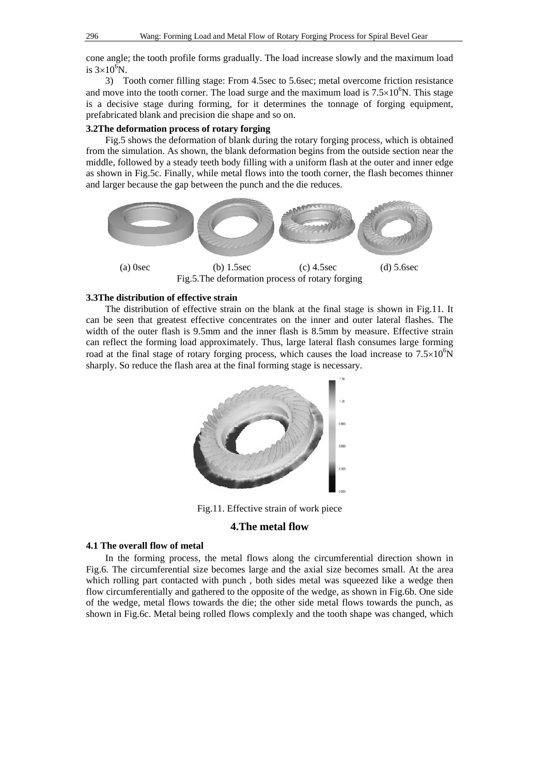cone angle; the tooth profile forms gradually. The load increase slowly and the maximum load is  $3\times10^6$ N.

3) Tooth corner filling stage: From 4.5sec to 5.6sec; metal overcome friction resistance and move into the tooth corner. The load surge and the maximum load is  $7.5 \times 10^6$ N. This stage is a decisive stage during forming, for it determines the tonnage of forging equipment, prefabricated blank and precision die shape and so on.

# **3.2The deformation process of rotary forging**

Fig.5 shows the deformation of blank during the rotary forging process, which is obtained from the simulation. As shown, the blank deformation begins from the outside section near the middle, followed by a steady teeth body filling with a uniform flash at the outer and inner edge as shown in Fig.5c. Finally, while metal flows into the tooth corner, the flash becomes thinner and larger because the gap between the punch and the die reduces.



# **3.3The distribution of effective strain**

The distribution of effective strain on the blank at the final stage is shown in Fig.11. It can be seen that greatest effective concentrates on the inner and outer lateral flashes. The width of the outer flash is 9.5mm and the inner flash is 8.5mm by measure. Effective strain can reflect the forming load approximately. Thus, large lateral flash consumes large forming road at the final stage of rotary forging process, which causes the load increase to  $7.5 \times 10^6$ N sharply. So reduce the flash area at the final forming stage is necessary.



Fig.11. Effective strain of work piece

### **4.The metal flow**

# **4.1 The overall flow of metal**

In the forming process, the metal flows along the circumferential direction shown in Fig.6. The circumferential size becomes large and the axial size becomes small. At the area which rolling part contacted with punch , both sides metal was squeezed like a wedge then flow circumferentially and gathered to the opposite of the wedge, as shown in Fig.6b. One side of the wedge, metal flows towards the die; the other side metal flows towards the punch, as shown in Fig.6c. Metal being rolled flows complexly and the tooth shape was changed, which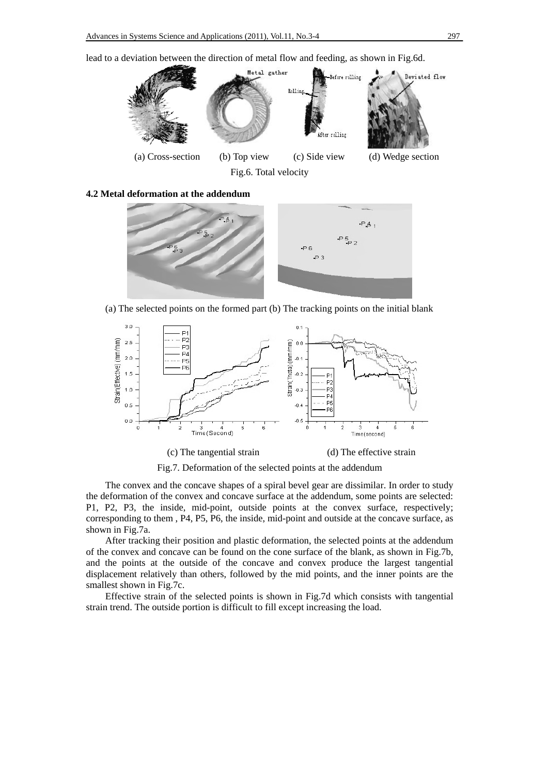lead to a deviation between the direction of metal flow and feeding, as shown in Fig.6d.



Fig.6. Total velocity

**4.2 Metal deformation at the addendum** 



(a) The selected points on the formed part (b) The tracking points on the initial blank



(c) The tangential strain (d) The effective strain

Fig.7. Deformation of the selected points at the addendum

The convex and the concave shapes of a spiral bevel gear are dissimilar. In order to study the deformation of the convex and concave surface at the addendum, some points are selected: P1, P2, P3, the inside, mid-point, outside points at the convex surface, respectively; corresponding to them , P4, P5, P6, the inside, mid-point and outside at the concave surface, as shown in Fig.7a.

After tracking their position and plastic deformation, the selected points at the addendum of the convex and concave can be found on the cone surface of the blank, as shown in Fig.7b, and the points at the outside of the concave and convex produce the largest tangential displacement relatively than others, followed by the mid points, and the inner points are the smallest shown in Fig.7c.

Effective strain of the selected points is shown in Fig.7d which consists with tangential strain trend. The outside portion is difficult to fill except increasing the load.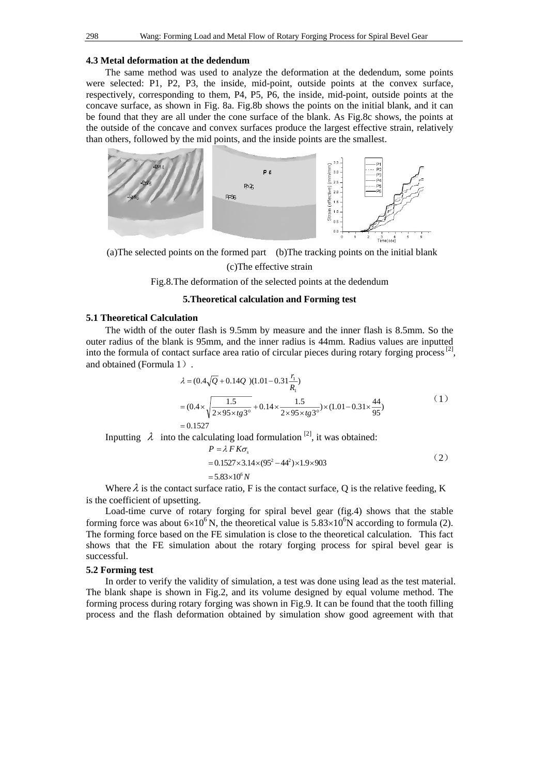### **4.3 Metal deformation at the dedendum**

The same method was used to analyze the deformation at the dedendum, some points were selected: P1, P2, P3, the inside, mid-point, outside points at the convex surface, respectively, corresponding to them, P4, P5, P6, the inside, mid-point, outside points at the concave surface, as shown in Fig. 8a. Fig.8b shows the points on the initial blank, and it can be found that they are all under the cone surface of the blank. As Fig.8c shows, the points at the outside of the concave and convex surfaces produce the largest effective strain, relatively than others, followed by the mid points, and the inside points are the smallest.



(a)The selected points on the formed part (b)The tracking points on the initial blank

# (c)The effective strain

Fig.8.The deformation of the selected points at the dedendum

# **5.Theoretical calculation and Forming test**

# **5.1 Theoretical Calculation**

The width of the outer flash is 9.5mm by measure and the inner flash is 8.5mm. So the outer radius of the blank is 95mm, and the inner radius is 44mm. Radius values are inputted into the formula of contact surface area ratio of circular pieces during rotary forging process [2], and obtained (Formula 1).

$$
\lambda = (0.4\sqrt{Q} + 0.14Q)(1.01 - 0.31\frac{r_1}{R_1})
$$
  
=  $(0.4 \times \sqrt{\frac{1.5}{2 \times 95 \times tg3^\circ}} + 0.14 \times \frac{1.5}{2 \times 95 \times tg3^\circ}) \times (1.01 - 0.31 \times \frac{44}{95})$  (1)  
= 0.1527

Inputting  $\lambda$  into the calculating load formulation <sup>[2]</sup>, it was obtained:

$$
P = \lambda F K \sigma_s
$$
  
= 0.1527×3.14×(95<sup>2</sup> - 44<sup>2</sup>)×1.9×903 (2)

 $= 5.83 \times 10^6 N$ 

Where  $\lambda$  is the contact surface ratio, F is the contact surface, Q is the relative feeding, K is the coefficient of upsetting.

Load-time curve of rotary forging for spiral bevel gear (fig.4) shows that the stable forming force was about  $6\times10^{6}$  N, the theoretical value is  $5.83\times10^{6}$ N according to formula (2). The forming force based on the FE simulation is close to the theoretical calculation. This fact shows that the FE simulation about the rotary forging process for spiral bevel gear is successful.

### **5.2 Forming test**

In order to verify the validity of simulation, a test was done using lead as the test material. The blank shape is shown in Fig.2, and its volume designed by equal volume method. The forming process during rotary forging was shown in Fig.9. It can be found that the tooth filling process and the flash deformation obtained by simulation show good agreement with that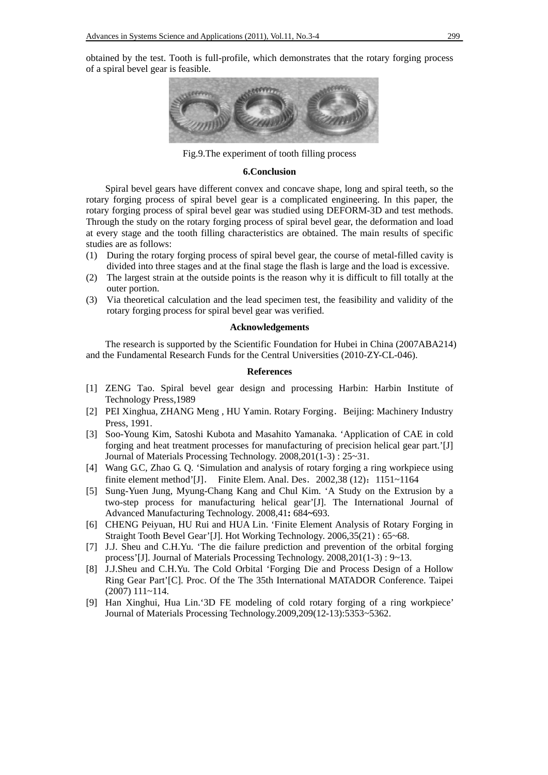obtained by the test. Tooth is full-profile, which demonstrates that the rotary forging process of a spiral bevel gear is feasible.



Fig.9.The experiment of tooth filling process

### **6.Conclusion**

Spiral bevel gears have different convex and concave shape, long and spiral teeth, so the rotary forging process of spiral bevel gear is a complicated engineering. In this paper, the rotary forging process of spiral bevel gear was studied using DEFORM-3D and test methods. Through the study on the rotary forging process of spiral bevel gear, the deformation and load at every stage and the tooth filling characteristics are obtained. The main results of specific studies are as follows:

- (1) During the rotary forging process of spiral bevel gear, the course of metal-filled cavity is divided into three stages and at the final stage the flash is large and the load is excessive.
- (2) The largest strain at the outside points is the reason why it is difficult to fill totally at the outer portion.
- (3) Via theoretical calculation and the lead specimen test, the feasibility and validity of the rotary forging process for spiral bevel gear was verified.

# **Acknowledgements**

The research is supported by the Scientific Foundation for Hubei in China (2007ABA214) and the Fundamental Research Funds for the Central Universities (2010-ZY-CL-046).

### **References**

- [1] ZENG Tao. Spiral bevel gear design and processing Harbin: Harbin Institute of Technology Press,1989
- [2] PEI Xinghua, ZHANG Meng, HU Yamin. Rotary Forging. Beijing: Machinery Industry Press, 1991.
- [3] Soo-Young Kim, Satoshi Kubota and Masahito Yamanaka. 'Application of CAE in cold forging and heat treatment processes for manufacturing of precision helical gear part.'[J] Journal of Materials Processing Technology. 2008,201(1-3) : 25~31.
- [4] Wang G.C, Zhao G. Q. 'Simulation and analysis of rotary forging a ring workpiece using finite element method'[J]. Finite Elem. Anal. Des. 2002,38 (12): 1151~1164
- [5] Sung-Yuen Jung, Myung-Chang Kang and Chul Kim. 'A Study on the Extrusion by a two-step process for manufacturing helical gear'[J]. The International Journal of Advanced Manufacturing Technology. 2008,41**:** 684**~**693.
- [6] CHENG Peiyuan, HU Rui and HUA Lin. 'Finite Element Analysis of Rotary Forging in Straight Tooth Bevel Gear'[J]. Hot Working Technology. 2006,35(21) : 65~68.
- [7] J.J. Sheu and C.H.Yu. 'The die failure prediction and prevention of the orbital forging process'[J]. Journal of Materials Processing Technology. 2008,201(1-3) : 9~13.
- [8] J.J.Sheu and C.H.Yu. The Cold Orbital 'Forging Die and Process Design of a Hollow Ring Gear Part'[C]. Proc. Of the The 35th International MATADOR Conference. Taipei (2007) 111~114.
- [9] Han Xinghui, Hua Lin.'3D FE modeling of cold rotary forging of a ring workpiece' Journal of Materials Processing Technology.2009,209(12-13):5353~5362.